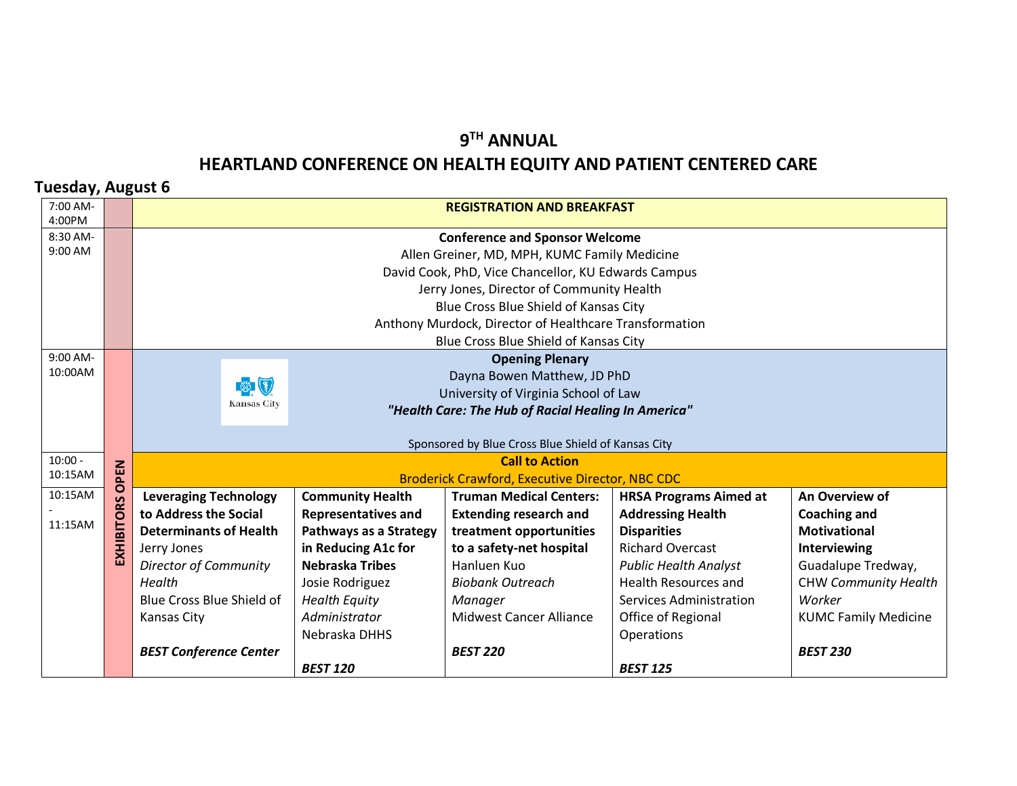## **9TH ANNUAL HEARTLAND CONFERENCE ON HEALTH EQUITY AND PATIENT CENTERED CARE**

## **Tuesday, August 6**

| 7:00 AM-             |                                                     | <b>REGISTRATION AND BREAKFAST</b>                                                     |                                                        |                                                        |                                |                             |  |
|----------------------|-----------------------------------------------------|---------------------------------------------------------------------------------------|--------------------------------------------------------|--------------------------------------------------------|--------------------------------|-----------------------------|--|
| 4:00PM<br>8:30 AM-   |                                                     |                                                                                       |                                                        |                                                        |                                |                             |  |
| 9:00 AM              |                                                     | <b>Conference and Sponsor Welcome</b><br>Allen Greiner, MD, MPH, KUMC Family Medicine |                                                        |                                                        |                                |                             |  |
|                      |                                                     |                                                                                       |                                                        |                                                        |                                |                             |  |
|                      |                                                     |                                                                                       |                                                        | David Cook, PhD, Vice Chancellor, KU Edwards Campus    |                                |                             |  |
|                      |                                                     | Jerry Jones, Director of Community Health                                             |                                                        |                                                        |                                |                             |  |
|                      |                                                     | Blue Cross Blue Shield of Kansas City                                                 |                                                        |                                                        |                                |                             |  |
|                      |                                                     |                                                                                       |                                                        | Anthony Murdock, Director of Healthcare Transformation |                                |                             |  |
|                      |                                                     |                                                                                       |                                                        | Blue Cross Blue Shield of Kansas City                  |                                |                             |  |
| 9:00 AM-<br>10:00AM  |                                                     |                                                                                       |                                                        | <b>Opening Plenary</b>                                 |                                |                             |  |
|                      |                                                     | (3)                                                                                   |                                                        | Dayna Bowen Matthew, JD PhD                            |                                |                             |  |
|                      |                                                     | Kansas City                                                                           |                                                        | University of Virginia School of Law                   |                                |                             |  |
|                      | "Health Care: The Hub of Racial Healing In America" |                                                                                       |                                                        |                                                        |                                |                             |  |
|                      |                                                     |                                                                                       |                                                        |                                                        |                                |                             |  |
|                      |                                                     |                                                                                       | Sponsored by Blue Cross Blue Shield of Kansas City     |                                                        |                                |                             |  |
| $10:00 -$<br>10:15AM | PEN                                                 | <b>Call to Action</b>                                                                 |                                                        |                                                        |                                |                             |  |
| 10:15AM              | $\circ$                                             |                                                                                       | <b>Broderick Crawford, Executive Director, NBC CDC</b> |                                                        |                                |                             |  |
|                      |                                                     | <b>Leveraging Technology</b>                                                          | <b>Community Health</b>                                | <b>Truman Medical Centers:</b>                         | <b>HRSA Programs Aimed at</b>  | An Overview of              |  |
| 11:15AM              | EXHIBITORS                                          | to Address the Social                                                                 | <b>Representatives and</b>                             | <b>Extending research and</b>                          | <b>Addressing Health</b>       | <b>Coaching and</b>         |  |
|                      |                                                     | <b>Determinants of Health</b>                                                         | Pathways as a Strategy                                 | treatment opportunities                                | <b>Disparities</b>             | <b>Motivational</b>         |  |
|                      |                                                     | Jerry Jones                                                                           | in Reducing A1c for                                    | to a safety-net hospital                               | <b>Richard Overcast</b>        | Interviewing                |  |
|                      |                                                     | <b>Director of Community</b>                                                          | <b>Nebraska Tribes</b>                                 | Hanluen Kuo                                            | <b>Public Health Analyst</b>   | Guadalupe Tredway,          |  |
|                      |                                                     | Health                                                                                | Josie Rodriguez                                        | <b>Biobank Outreach</b>                                | <b>Health Resources and</b>    | <b>CHW Community Health</b> |  |
|                      |                                                     | Blue Cross Blue Shield of                                                             | <b>Health Equity</b>                                   | Manager                                                | <b>Services Administration</b> | Worker                      |  |
|                      |                                                     | <b>Kansas City</b>                                                                    | Administrator                                          | <b>Midwest Cancer Alliance</b>                         | Office of Regional             | <b>KUMC Family Medicine</b> |  |
|                      |                                                     |                                                                                       | Nebraska DHHS                                          |                                                        | Operations                     |                             |  |
|                      |                                                     | <b>BEST Conference Center</b>                                                         |                                                        | <b>BEST 220</b>                                        |                                | <b>BEST 230</b>             |  |
|                      |                                                     |                                                                                       | <b>BEST 120</b>                                        |                                                        | <b>BEST 125</b>                |                             |  |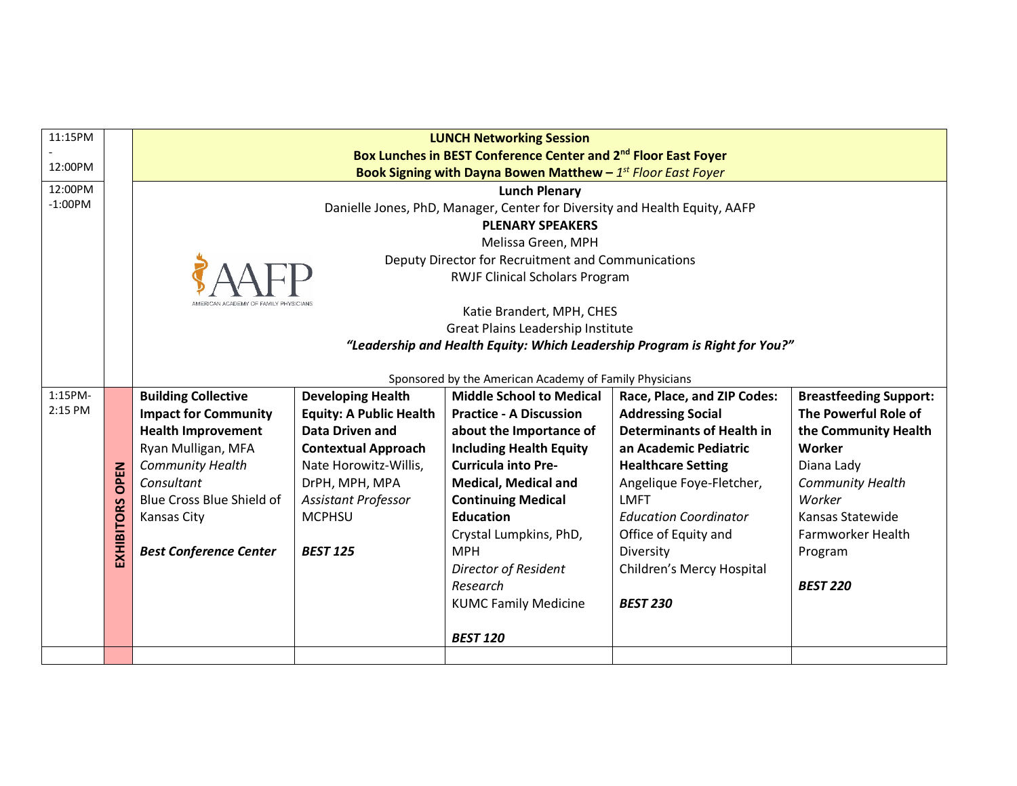| 11:15PM   |                        | <b>LUNCH Networking Session</b>                                            |                                                                            |                                                        |                                                                            |                               |  |  |
|-----------|------------------------|----------------------------------------------------------------------------|----------------------------------------------------------------------------|--------------------------------------------------------|----------------------------------------------------------------------------|-------------------------------|--|--|
|           |                        | Box Lunches in BEST Conference Center and 2 <sup>nd</sup> Floor East Foyer |                                                                            |                                                        |                                                                            |                               |  |  |
| 12:00PM   |                        | Book Signing with Dayna Bowen Matthew $-1^{st}$ Floor East Foyer           |                                                                            |                                                        |                                                                            |                               |  |  |
| 12:00PM   |                        | <b>Lunch Plenary</b>                                                       |                                                                            |                                                        |                                                                            |                               |  |  |
| $-1:00PM$ |                        |                                                                            | Danielle Jones, PhD, Manager, Center for Diversity and Health Equity, AAFP |                                                        |                                                                            |                               |  |  |
|           |                        | <b>PLENARY SPEAKERS</b>                                                    |                                                                            |                                                        |                                                                            |                               |  |  |
|           |                        |                                                                            | Melissa Green, MPH                                                         |                                                        |                                                                            |                               |  |  |
|           |                        | Deputy Director for Recruitment and Communications                         |                                                                            |                                                        |                                                                            |                               |  |  |
|           |                        |                                                                            |                                                                            | <b>RWJF Clinical Scholars Program</b>                  |                                                                            |                               |  |  |
|           |                        |                                                                            |                                                                            |                                                        |                                                                            |                               |  |  |
|           |                        |                                                                            |                                                                            | Katie Brandert, MPH, CHES                              |                                                                            |                               |  |  |
|           |                        |                                                                            |                                                                            | Great Plains Leadership Institute                      |                                                                            |                               |  |  |
|           |                        |                                                                            |                                                                            |                                                        | "Leadership and Health Equity: Which Leadership Program is Right for You?" |                               |  |  |
|           |                        |                                                                            |                                                                            |                                                        |                                                                            |                               |  |  |
|           |                        |                                                                            |                                                                            | Sponsored by the American Academy of Family Physicians |                                                                            |                               |  |  |
| 1:15PM-   |                        | <b>Building Collective</b>                                                 | <b>Developing Health</b>                                                   | <b>Middle School to Medical</b>                        | Race, Place, and ZIP Codes:                                                | <b>Breastfeeding Support:</b> |  |  |
| 2:15 PM   |                        | <b>Impact for Community</b>                                                | <b>Equity: A Public Health</b>                                             | <b>Practice - A Discussion</b>                         | <b>Addressing Social</b>                                                   | The Powerful Role of          |  |  |
|           |                        | <b>Health Improvement</b>                                                  | <b>Data Driven and</b>                                                     | about the Importance of                                | <b>Determinants of Health in</b>                                           | the Community Health          |  |  |
|           |                        | Ryan Mulligan, MFA                                                         | <b>Contextual Approach</b>                                                 | <b>Including Health Equity</b>                         | an Academic Pediatric                                                      | Worker                        |  |  |
|           |                        | Community Health                                                           | Nate Horowitz-Willis,                                                      | <b>Curricula into Pre-</b>                             | <b>Healthcare Setting</b>                                                  | Diana Lady                    |  |  |
|           |                        | Consultant                                                                 | DrPH, MPH, MPA                                                             | <b>Medical, Medical and</b>                            | Angelique Foye-Fletcher,                                                   | <b>Community Health</b>       |  |  |
|           | <b>EXHIBITORS OPEN</b> | Blue Cross Blue Shield of                                                  | Assistant Professor                                                        | <b>Continuing Medical</b>                              | LMFT                                                                       | Worker                        |  |  |
|           |                        | <b>Kansas City</b>                                                         | <b>MCPHSU</b>                                                              | <b>Education</b>                                       | <b>Education Coordinator</b>                                               | Kansas Statewide              |  |  |
|           |                        |                                                                            |                                                                            | Crystal Lumpkins, PhD,                                 | Office of Equity and                                                       | Farmworker Health             |  |  |
|           |                        | <b>Best Conference Center</b>                                              | <b>BEST 125</b>                                                            | <b>MPH</b>                                             | Diversity                                                                  | Program                       |  |  |
|           |                        |                                                                            |                                                                            | <b>Director of Resident</b>                            | Children's Mercy Hospital                                                  |                               |  |  |
|           |                        |                                                                            |                                                                            | Research                                               |                                                                            | <b>BEST 220</b>               |  |  |
|           |                        |                                                                            |                                                                            |                                                        |                                                                            |                               |  |  |
|           |                        |                                                                            |                                                                            | <b>KUMC Family Medicine</b>                            | <b>BEST 230</b>                                                            |                               |  |  |
|           |                        |                                                                            |                                                                            | <b>BEST 120</b>                                        |                                                                            |                               |  |  |
|           |                        |                                                                            |                                                                            |                                                        |                                                                            |                               |  |  |
|           |                        |                                                                            |                                                                            |                                                        |                                                                            |                               |  |  |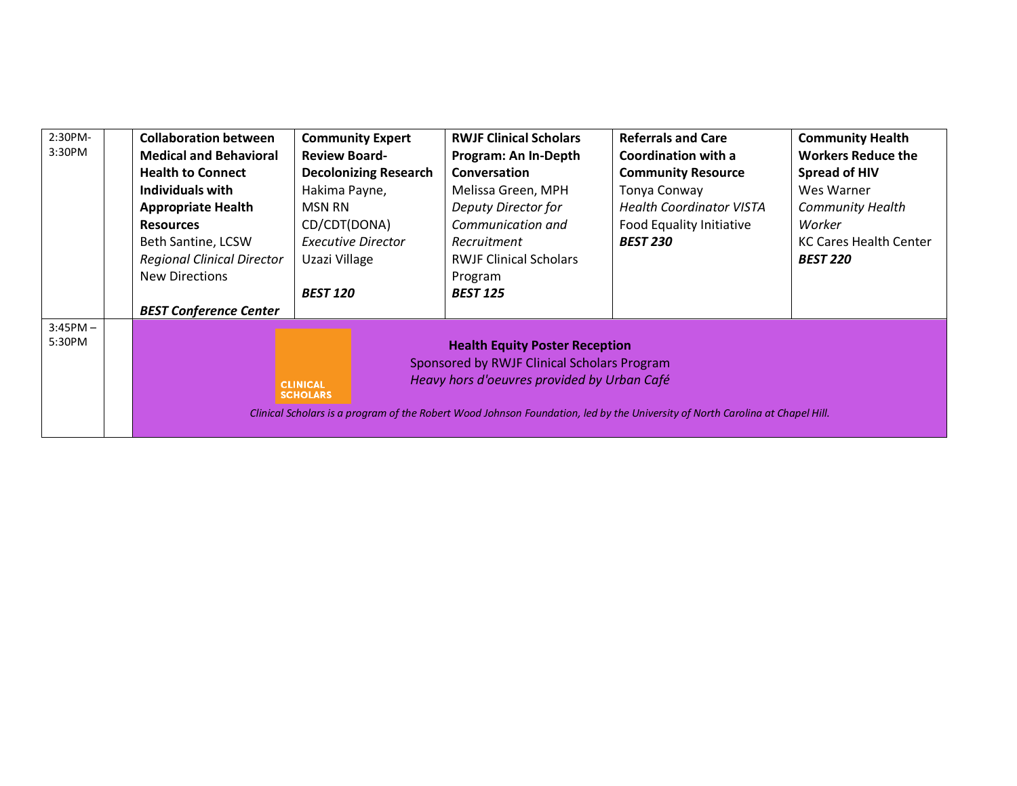| 2:30PM-<br>3:30PM    | <b>Collaboration between</b><br><b>Medical and Behavioral</b><br><b>Health to Connect</b><br>Individuals with                                                                                                                                                                                              | <b>Community Expert</b><br><b>Review Board-</b><br><b>Decolonizing Research</b><br>Hakima Payne, | <b>RWJF Clinical Scholars</b><br>Program: An In-Depth<br>Conversation<br>Melissa Green, MPH     | <b>Referrals and Care</b><br>Coordination with a<br><b>Community Resource</b><br>Tonya Conway | <b>Community Health</b><br><b>Workers Reduce the</b><br><b>Spread of HIV</b><br>Wes Warner |  |
|----------------------|------------------------------------------------------------------------------------------------------------------------------------------------------------------------------------------------------------------------------------------------------------------------------------------------------------|--------------------------------------------------------------------------------------------------|-------------------------------------------------------------------------------------------------|-----------------------------------------------------------------------------------------------|--------------------------------------------------------------------------------------------|--|
|                      | <b>Appropriate Health</b>                                                                                                                                                                                                                                                                                  | <b>MSN RN</b>                                                                                    | Deputy Director for                                                                             | <b>Health Coordinator VISTA</b>                                                               | <b>Community Health</b>                                                                    |  |
|                      | <b>Resources</b><br>Beth Santine, LCSW<br><b>Regional Clinical Director</b><br><b>New Directions</b><br><b>BEST Conference Center</b>                                                                                                                                                                      | CD/CDT(DONA)<br>Executive Director<br>Uzazi Village<br><b>BEST 120</b>                           | Communication and<br>Recruitment<br><b>RWJF Clinical Scholars</b><br>Program<br><b>BEST 125</b> | Food Equality Initiative<br><b>BEST 230</b>                                                   | Worker<br><b>KC Cares Health Center</b><br><b>BEST 220</b>                                 |  |
| $3:45PM -$<br>5:30PM | <b>Health Equity Poster Reception</b><br>Sponsored by RWJF Clinical Scholars Program<br>Heavy hors d'oeuvres provided by Urban Café<br><b>CLINICAL</b><br><b>SCHOLARS</b><br>Clinical Scholars is a program of the Robert Wood Johnson Foundation, led by the University of North Carolina at Chapel Hill. |                                                                                                  |                                                                                                 |                                                                                               |                                                                                            |  |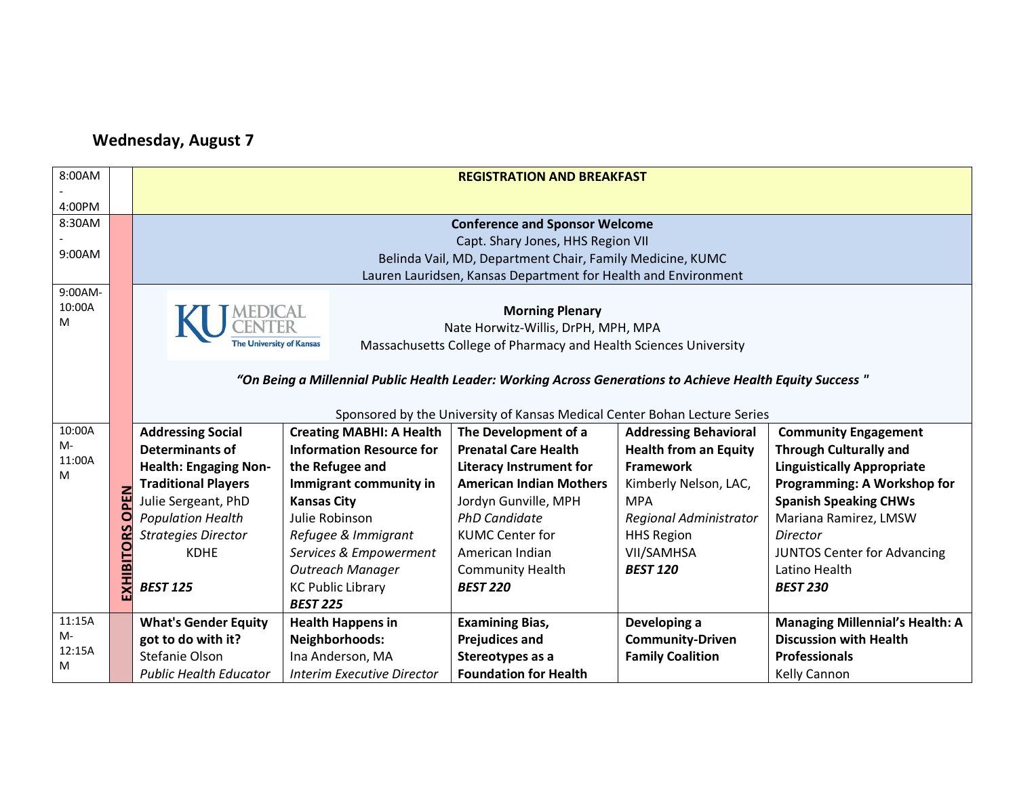## **Wednesday, August 7**

| 8:00AM  |            | <b>REGISTRATION AND BREAKFAST</b>                              |                                                                                                            |                                                                           |                              |                                        |  |
|---------|------------|----------------------------------------------------------------|------------------------------------------------------------------------------------------------------------|---------------------------------------------------------------------------|------------------------------|----------------------------------------|--|
|         |            |                                                                |                                                                                                            |                                                                           |                              |                                        |  |
| 4:00PM  |            |                                                                |                                                                                                            |                                                                           |                              |                                        |  |
| 8:30AM  |            | <b>Conference and Sponsor Welcome</b>                          |                                                                                                            |                                                                           |                              |                                        |  |
|         |            |                                                                |                                                                                                            | Capt. Shary Jones, HHS Region VII                                         |                              |                                        |  |
| 9:00AM  |            |                                                                |                                                                                                            | Belinda Vail, MD, Department Chair, Family Medicine, KUMC                 |                              |                                        |  |
|         |            | Lauren Lauridsen, Kansas Department for Health and Environment |                                                                                                            |                                                                           |                              |                                        |  |
| 9:00AM- |            |                                                                |                                                                                                            |                                                                           |                              |                                        |  |
| 10:00A  |            |                                                                |                                                                                                            | <b>Morning Plenary</b>                                                    |                              |                                        |  |
| м       |            |                                                                |                                                                                                            | Nate Horwitz-Willis, DrPH, MPH, MPA                                       |                              |                                        |  |
|         |            | <b>The University of Kansas</b>                                |                                                                                                            | Massachusetts College of Pharmacy and Health Sciences University          |                              |                                        |  |
|         |            |                                                                |                                                                                                            |                                                                           |                              |                                        |  |
|         |            |                                                                | "On Being a Millennial Public Health Leader: Working Across Generations to Achieve Health Equity Success " |                                                                           |                              |                                        |  |
|         |            |                                                                |                                                                                                            |                                                                           |                              |                                        |  |
|         |            |                                                                |                                                                                                            | Sponsored by the University of Kansas Medical Center Bohan Lecture Series |                              |                                        |  |
| 10:00A  |            | <b>Addressing Social</b>                                       | <b>Creating MABHI: A Health</b>                                                                            | The Development of a                                                      | <b>Addressing Behavioral</b> | <b>Community Engagement</b>            |  |
| M-      |            | <b>Determinants of</b>                                         | <b>Information Resource for</b>                                                                            | <b>Prenatal Care Health</b>                                               | <b>Health from an Equity</b> | <b>Through Culturally and</b>          |  |
| 11:00A  |            | <b>Health: Engaging Non-</b>                                   | the Refugee and                                                                                            | <b>Literacy Instrument for</b>                                            | <b>Framework</b>             | <b>Linguistically Appropriate</b>      |  |
| М       |            | <b>Traditional Players</b>                                     | Immigrant community in                                                                                     | <b>American Indian Mothers</b>                                            | Kimberly Nelson, LAC,        | Programming: A Workshop for            |  |
|         | PEN        | Julie Sergeant, PhD                                            | <b>Kansas City</b>                                                                                         | Jordyn Gunville, MPH                                                      | <b>MPA</b>                   | <b>Spanish Speaking CHWs</b>           |  |
|         | $\circ$    | <b>Population Health</b>                                       | Julie Robinson                                                                                             | <b>PhD Candidate</b>                                                      | Regional Administrator       | Mariana Ramirez, LMSW                  |  |
|         |            | <b>Strategies Director</b>                                     | Refugee & Immigrant                                                                                        | <b>KUMC Center for</b>                                                    | <b>HHS Region</b>            | <b>Director</b>                        |  |
|         | EXHIBITORS | <b>KDHE</b>                                                    | Services & Empowerment                                                                                     | American Indian                                                           | VII/SAMHSA                   | <b>JUNTOS Center for Advancing</b>     |  |
|         |            |                                                                | <b>Outreach Manager</b>                                                                                    | <b>Community Health</b>                                                   | <b>BEST 120</b>              | Latino Health                          |  |
|         |            | <b>BEST 125</b>                                                | <b>KC Public Library</b>                                                                                   | <b>BEST 220</b>                                                           |                              | <b>BEST 230</b>                        |  |
|         |            |                                                                | <b>BEST 225</b>                                                                                            |                                                                           |                              |                                        |  |
| 11:15A  |            | <b>What's Gender Equity</b>                                    | <b>Health Happens in</b>                                                                                   | <b>Examining Bias,</b>                                                    | Developing a                 | <b>Managing Millennial's Health: A</b> |  |
| M-      |            | got to do with it?                                             | Neighborhoods:                                                                                             | <b>Prejudices and</b>                                                     | <b>Community-Driven</b>      | <b>Discussion with Health</b>          |  |
| 12:15A  |            | Stefanie Olson                                                 | Ina Anderson, MA                                                                                           | Stereotypes as a                                                          | <b>Family Coalition</b>      | <b>Professionals</b>                   |  |
| Μ       |            | <b>Public Health Educator</b>                                  | <b>Interim Executive Director</b>                                                                          | <b>Foundation for Health</b>                                              |                              | Kelly Cannon                           |  |
|         |            |                                                                |                                                                                                            |                                                                           |                              |                                        |  |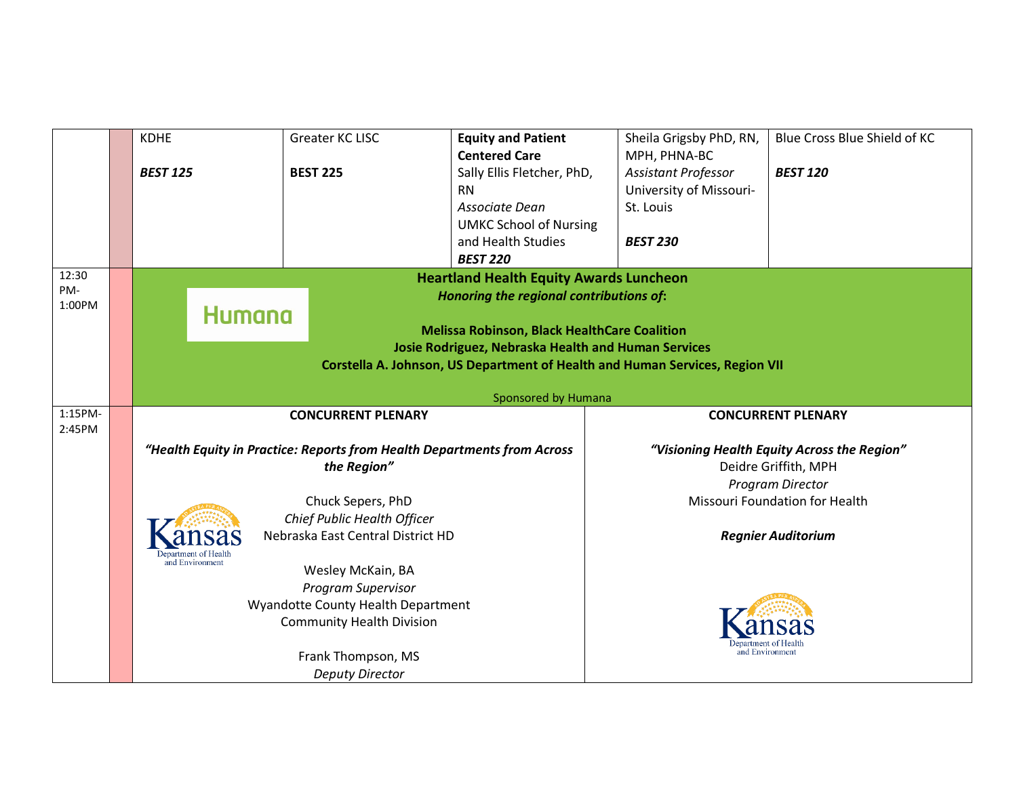|               | <b>KDHE</b>         | Greater KC LISC<br><b>Equity and Patient</b>                            |                                                | Sheila Grigsby PhD, RN,                                                      | Blue Cross Blue Shield of KC                |  |  |
|---------------|---------------------|-------------------------------------------------------------------------|------------------------------------------------|------------------------------------------------------------------------------|---------------------------------------------|--|--|
|               |                     |                                                                         | <b>Centered Care</b>                           | MPH, PHNA-BC                                                                 |                                             |  |  |
|               | <b>BEST 125</b>     | <b>BEST 225</b>                                                         | Sally Ellis Fletcher, PhD,                     | Assistant Professor                                                          | <b>BEST 120</b>                             |  |  |
|               |                     |                                                                         | <b>RN</b>                                      | University of Missouri-                                                      |                                             |  |  |
|               |                     |                                                                         | Associate Dean                                 | St. Louis                                                                    |                                             |  |  |
|               |                     |                                                                         | <b>UMKC School of Nursing</b>                  |                                                                              |                                             |  |  |
|               |                     |                                                                         | and Health Studies                             | <b>BEST 230</b>                                                              |                                             |  |  |
|               |                     |                                                                         | <b>BEST 220</b>                                |                                                                              |                                             |  |  |
| 12:30         |                     |                                                                         | <b>Heartland Health Equity Awards Luncheon</b> |                                                                              |                                             |  |  |
| PM-<br>1:00PM |                     |                                                                         | Honoring the regional contributions of:        |                                                                              |                                             |  |  |
|               | Humana              |                                                                         |                                                |                                                                              |                                             |  |  |
|               |                     | <b>Melissa Robinson, Black HealthCare Coalition</b>                     |                                                |                                                                              |                                             |  |  |
|               |                     | <b>Josie Rodriguez, Nebraska Health and Human Services</b>              |                                                |                                                                              |                                             |  |  |
|               |                     |                                                                         |                                                | Corstella A. Johnson, US Department of Health and Human Services, Region VII |                                             |  |  |
|               |                     |                                                                         |                                                |                                                                              |                                             |  |  |
|               | Sponsored by Humana |                                                                         |                                                |                                                                              |                                             |  |  |
|               |                     |                                                                         |                                                |                                                                              |                                             |  |  |
| 1:15PM-       |                     | <b>CONCURRENT PLENARY</b>                                               |                                                |                                                                              | <b>CONCURRENT PLENARY</b>                   |  |  |
| 2:45PM        |                     |                                                                         |                                                |                                                                              |                                             |  |  |
|               |                     | "Health Equity in Practice: Reports from Health Departments from Across |                                                |                                                                              | "Visioning Health Equity Across the Region" |  |  |
|               |                     | the Region"                                                             |                                                |                                                                              | Deidre Griffith, MPH                        |  |  |
|               |                     |                                                                         |                                                |                                                                              | Program Director                            |  |  |
|               |                     | Chuck Sepers, PhD                                                       |                                                |                                                                              | Missouri Foundation for Health              |  |  |
|               |                     | Chief Public Health Officer                                             |                                                |                                                                              |                                             |  |  |
|               |                     | Nebraska East Central District HD                                       |                                                |                                                                              | <b>Regnier Auditorium</b>                   |  |  |
|               | and Environment     |                                                                         |                                                |                                                                              |                                             |  |  |
|               |                     | Wesley McKain, BA                                                       |                                                |                                                                              |                                             |  |  |
|               |                     | <b>Program Supervisor</b>                                               |                                                |                                                                              |                                             |  |  |
|               |                     | Wyandotte County Health Department                                      |                                                |                                                                              |                                             |  |  |
|               |                     | <b>Community Health Division</b>                                        |                                                |                                                                              |                                             |  |  |
|               |                     |                                                                         |                                                | and Environmen                                                               |                                             |  |  |
|               |                     | Frank Thompson, MS<br><b>Deputy Director</b>                            |                                                |                                                                              |                                             |  |  |